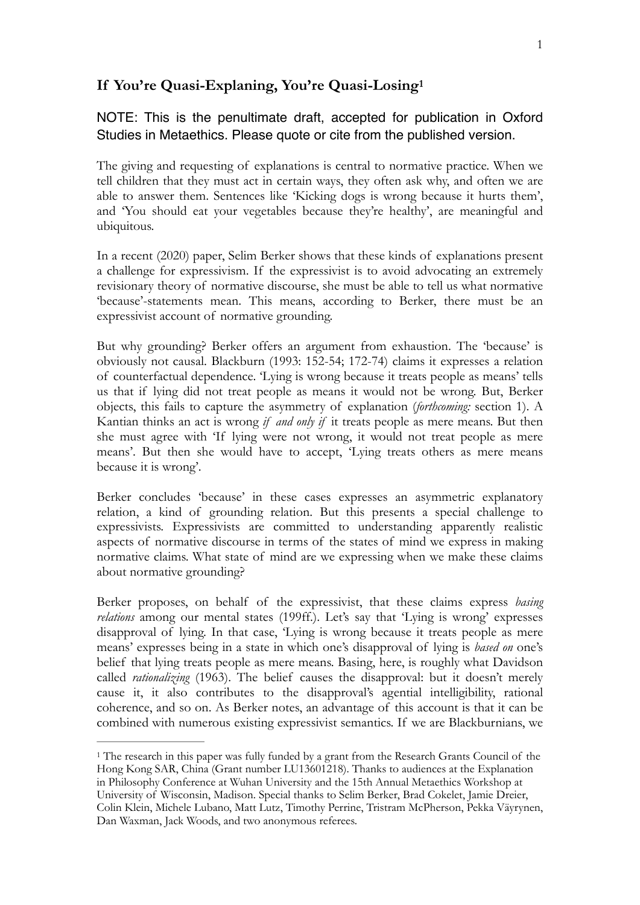# <span id="page-0-1"></span>**If You're Quasi-Explaning, You're Quasi-Losing[1](#page-0-0)**

## NOTE: This is the penultimate draft, accepted for publication in Oxford Studies in Metaethics. Please quote or cite from the published version.

The giving and requesting of explanations is central to normative practice. When we tell children that they must act in certain ways, they often ask why, and often we are able to answer them. Sentences like 'Kicking dogs is wrong because it hurts them', and 'You should eat your vegetables because they're healthy', are meaningful and ubiquitous.

In a recent (2020) paper, Selim Berker shows that these kinds of explanations present a challenge for expressivism. If the expressivist is to avoid advocating an extremely revisionary theory of normative discourse, she must be able to tell us what normative 'because'-statements mean. This means, according to Berker, there must be an expressivist account of normative grounding.

But why grounding? Berker offers an argument from exhaustion. The 'because' is obviously not causal. Blackburn (1993: 152-54; 172-74) claims it expresses a relation of counterfactual dependence. 'Lying is wrong because it treats people as means' tells us that if lying did not treat people as means it would not be wrong. But, Berker objects, this fails to capture the asymmetry of explanation (*forthcoming:* section 1). A Kantian thinks an act is wrong *if and only if* it treats people as mere means. But then she must agree with 'If lying were not wrong, it would not treat people as mere means'. But then she would have to accept, 'Lying treats others as mere means because it is wrong'.

Berker concludes 'because' in these cases expresses an asymmetric explanatory relation, a kind of grounding relation. But this presents a special challenge to expressivists. Expressivists are committed to understanding apparently realistic aspects of normative discourse in terms of the states of mind we express in making normative claims. What state of mind are we expressing when we make these claims about normative grounding?

Berker proposes, on behalf of the expressivist, that these claims express *basing relations* among our mental states (199ff.). Let's say that 'Lying is wrong' expresses disapproval of lying. In that case, 'Lying is wrong because it treats people as mere means' expresses being in a state in which one's disapproval of lying is *based on* one's belief that lying treats people as mere means. Basing, here, is roughly what Davidson called *rationalizing* (1963). The belief causes the disapproval: but it doesn't merely cause it, it also contributes to the disapproval's agential intelligibility, rational coherence, and so on. As Berker notes, an advantage of this account is that it can be combined with numerous existing expressivist semantics. If we are Blackburnians, we

<span id="page-0-0"></span><sup>&</sup>lt;sup>[1](#page-0-1)</sup> The research in this paper was fully funded by a grant from the Research Grants Council of the Hong Kong SAR, China (Grant number LU13601218). Thanks to audiences at the Explanation in Philosophy Conference at Wuhan University and the 15th Annual Metaethics Workshop at University of Wisconsin, Madison. Special thanks to Selim Berker, Brad Cokelet, Jamie Dreier, Colin Klein, Michele Lubano, Matt Lutz, Timothy Perrine, Tristram McPherson, Pekka Väyrynen, Dan Waxman, Jack Woods, and two anonymous referees.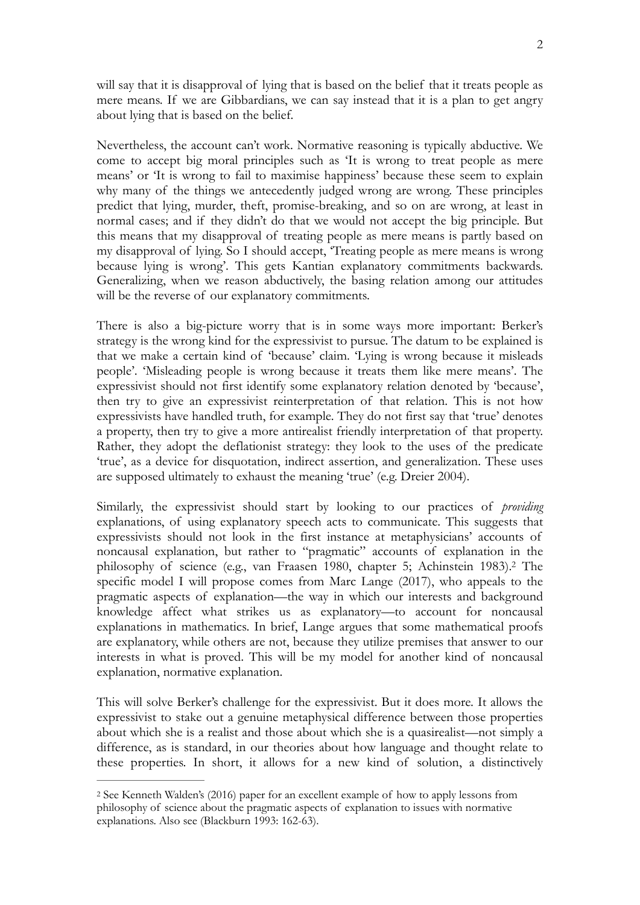will say that it is disapproval of lying that is based on the belief that it treats people as mere means. If we are Gibbardians, we can say instead that it is a plan to get angry about lying that is based on the belief.

Nevertheless, the account can't work. Normative reasoning is typically abductive. We come to accept big moral principles such as 'It is wrong to treat people as mere means' or 'It is wrong to fail to maximise happiness' because these seem to explain why many of the things we antecedently judged wrong are wrong. These principles predict that lying, murder, theft, promise-breaking, and so on are wrong, at least in normal cases; and if they didn't do that we would not accept the big principle. But this means that my disapproval of treating people as mere means is partly based on my disapproval of lying. So I should accept, 'Treating people as mere means is wrong because lying is wrong'. This gets Kantian explanatory commitments backwards. Generalizing, when we reason abductively, the basing relation among our attitudes will be the reverse of our explanatory commitments.

There is also a big-picture worry that is in some ways more important: Berker's strategy is the wrong kind for the expressivist to pursue. The datum to be explained is that we make a certain kind of 'because' claim. 'Lying is wrong because it misleads people'. 'Misleading people is wrong because it treats them like mere means'. The expressivist should not first identify some explanatory relation denoted by 'because', then try to give an expressivist reinterpretation of that relation. This is not how expressivists have handled truth, for example. They do not first say that 'true' denotes a property, then try to give a more antirealist friendly interpretation of that property. Rather, they adopt the deflationist strategy: they look to the uses of the predicate 'true', as a device for disquotation, indirect assertion, and generalization. These uses are supposed ultimately to exhaust the meaning 'true' (e.g. Dreier 2004).

<span id="page-1-1"></span>Similarly, the expressivist should start by looking to our practices of *providing*  explanations, of using explanatory speech acts to communicate. This suggests that expressivists should not look in the first instance at metaphysicians' accounts of noncausal explanation, but rather to "pragmatic" accounts of explanation in the philosophy of science (e[.](#page-1-0)g., van Fraasen 1980, chapter 5; Achinstein 1983).<sup>[2](#page-1-0)</sup> The specific model I will propose comes from Marc Lange (2017), who appeals to the pragmatic aspects of explanation—the way in which our interests and background knowledge affect what strikes us as explanatory—to account for noncausal explanations in mathematics. In brief, Lange argues that some mathematical proofs are explanatory, while others are not, because they utilize premises that answer to our interests in what is proved. This will be my model for another kind of noncausal explanation, normative explanation.

This will solve Berker's challenge for the expressivist. But it does more. It allows the expressivist to stake out a genuine metaphysical difference between those properties about which she is a realist and those about which she is a quasirealist—not simply a difference, as is standard, in our theories about how language and thought relate to these properties. In short, it allows for a new kind of solution, a distinctively

<span id="page-1-0"></span><sup>&</sup>lt;sup>[2](#page-1-1)</sup> See Kenneth Walden's (2016) paper for an excellent example of how to apply lessons from philosophy of science about the pragmatic aspects of explanation to issues with normative explanations. Also see (Blackburn 1993: 162-63).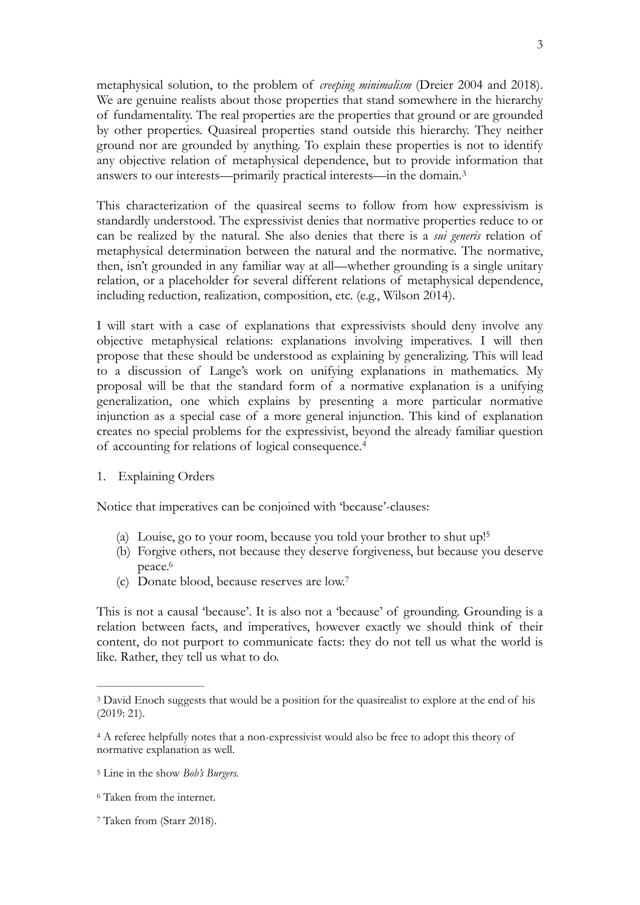metaphysical solution, to the problem of *creeping minimalism* (Dreier 2004 and 2018). We are genuine realists about those properties that stand somewhere in the hierarchy of fundamentality. The real properties are the properties that ground or are grounded by other properties. Quasireal properties stand outside this hierarchy. They neither ground nor are grounded by anything. To explain these properties is not to identify any objective relation of metaphysical dependence, but to provide information that answers to our interests—primarily practical interests—in the domain.[3](#page-2-0)

<span id="page-2-5"></span>This characterization of the quasireal seems to follow from how expressivism is standardly understood. The expressivist denies that normative properties reduce to or can be realized by the natural. She also denies that there is a *sui generis* relation of metaphysical determination between the natural and the normative. The normative, then, isn't grounded in any familiar way at all—whether grounding is a single unitary relation, or a placeholder for several different relations of metaphysical dependence, including reduction, realization, composition, etc. (e.g., Wilson 2014).

I will start with a case of explanations that expressivists should deny involve any objective metaphysical relations: explanations involving imperatives. I will then propose that these should be understood as explaining by generalizing. This will lead to a discussion of Lange's work on unifying explanations in mathematics. My proposal will be that the standard form of a normative explanation is a unifying generalization, one which explains by presenting a more particular normative injunction as a special case of a more general injunction. This kind of explanation creates no special problems for the expressivist, beyond the already familiar question of accounting for relations of logical consequence.[4](#page-2-1)

1. Explaining Orders

Notice that imperatives can be conjoined with 'because'-clauses:

- <span id="page-2-7"></span><span id="page-2-6"></span>(a) Louise, go to your room, because you told your brother to shut up[!5](#page-2-2)
- <span id="page-2-8"></span>(b) Forgive others, not because they deserve forgiveness, but because you deserve peace[.6](#page-2-3)
- <span id="page-2-9"></span>(c) Donate blood, because reserves are low[.7](#page-2-4)

This is not a causal 'because'. It is also not a 'because' of grounding. Grounding is a relation between facts, and imperatives, however exactly we should think of their content, do not purport to communicate facts: they do not tell us what the world is like. Rather, they tell us what to do.

<span id="page-2-0"></span><sup>&</sup>lt;sup>[3](#page-2-5)</sup> David Enoch suggests that would be a position for the quasirealist to explore at the end of his (2019: 21).

<span id="page-2-1"></span>A referee helpfully notes that a non-expressivist would also be free to adopt this theory of [4](#page-2-6) normative explanation as well.

<span id="page-2-2"></span><sup>&</sup>lt;sup>[5](#page-2-7)</sup> Line in the show *Bob's Burgers*.

<span id="page-2-3"></span>Taken from the internet. [6](#page-2-8)

<span id="page-2-4"></span><sup>&</sup>lt;sup>[7](#page-2-9)</sup> Taken from (Starr 2018).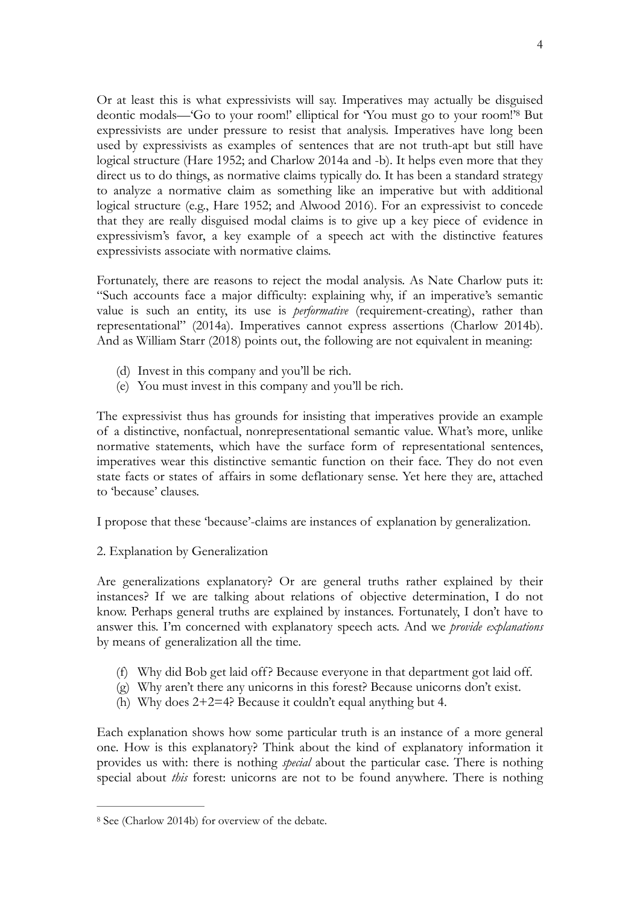<span id="page-3-1"></span>Or at least this is what expressivists will say. Imperatives may actually be disguised deonticmodals—'Go to your room!' elliptical for 'You must go to your room!'<sup>[8](#page-3-0)</sup> But expressivists are under pressure to resist that analysis. Imperatives have long been used by expressivists as examples of sentences that are not truth-apt but still have logical structure (Hare 1952; and Charlow 2014a and -b). It helps even more that they direct us to do things, as normative claims typically do. It has been a standard strategy to analyze a normative claim as something like an imperative but with additional logical structure (e.g., Hare 1952; and Alwood 2016). For an expressivist to concede that they are really disguised modal claims is to give up a key piece of evidence in expressivism's favor, a key example of a speech act with the distinctive features expressivists associate with normative claims.

Fortunately, there are reasons to reject the modal analysis. As Nate Charlow puts it: "Such accounts face a major difficulty: explaining why, if an imperative's semantic value is such an entity, its use is *performative* (requirement-creating), rather than representational" (2014a). Imperatives cannot express assertions (Charlow 2014b). And as William Starr (2018) points out, the following are not equivalent in meaning:

- (d) Invest in this company and you'll be rich.
- (e) You must invest in this company and you'll be rich.

The expressivist thus has grounds for insisting that imperatives provide an example of a distinctive, nonfactual, nonrepresentational semantic value. What's more, unlike normative statements, which have the surface form of representational sentences, imperatives wear this distinctive semantic function on their face. They do not even state facts or states of affairs in some deflationary sense. Yet here they are, attached to 'because' clauses.

I propose that these 'because'-claims are instances of explanation by generalization.

2. Explanation by Generalization

Are generalizations explanatory? Or are general truths rather explained by their instances? If we are talking about relations of objective determination, I do not know. Perhaps general truths are explained by instances. Fortunately, I don't have to answer this. I'm concerned with explanatory speech acts. And we *provide explanations* by means of generalization all the time.

- (f) Why did Bob get laid off? Because everyone in that department got laid off.
- (g) Why aren't there any unicorns in this forest? Because unicorns don't exist.
- (h) Why does 2+2=4? Because it couldn't equal anything but 4.

Each explanation shows how some particular truth is an instance of a more general one. How is this explanatory? Think about the kind of explanatory information it provides us with: there is nothing *special* about the particular case. There is nothing special about *this* forest: unicorns are not to be found anywhere. There is nothing

<span id="page-3-0"></span>[<sup>8</sup>](#page-3-1) See (Charlow 2014b) for overview of the debate.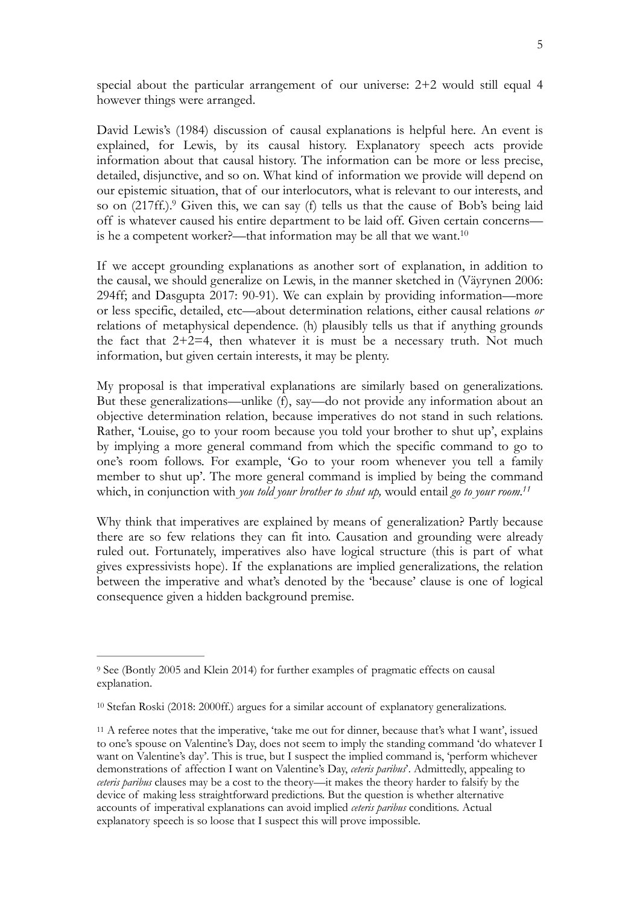special about the particular arrangement of our universe: 2+2 would still equal 4 however things were arranged.

David Lewis's (1984) discussion of causal explanations is helpful here. An event is explained, for Lewis, by its causal history. Explanatory speech acts provide information about that causal history. The information can be more or less precise, detailed, disjunctive, and so on. What kind of information we provide will depend on our epistemic situation, that of our interlocutors, what is relevant to our interests, and so on (217ff[.](#page-4-0)).<sup>[9](#page-4-0)</sup> Given this, we can say (f) tells us that the cause of Bob's being laid off is whatever caused his entire department to be laid off. Given certain concerns is he a competent worker?—that information may be all that we want[.10](#page-4-1)

<span id="page-4-4"></span><span id="page-4-3"></span>If we accept grounding explanations as another sort of explanation, in addition to the causal, we should generalize on Lewis, in the manner sketched in (Väyrynen 2006: 294ff; and Dasgupta 2017: 90-91). We can explain by providing information—more or less specific, detailed, etc—about determination relations, either causal relations *or*  relations of metaphysical dependence. (h) plausibly tells us that if anything grounds the fact that  $2+2=4$ , then whatever it is must be a necessary truth. Not much information, but given certain interests, it may be plenty.

My proposal is that imperatival explanations are similarly based on generalizations. But these generalizations—unlike (f), say—do not provide any information about an objective determination relation, because imperatives do not stand in such relations. Rather, 'Louise, go to your room because you told your brother to shut up', explains by implying a more general command from which the specific command to go to one's room follows. For example, 'Go to your room whenever you tell a family member to shut up'. The more general command is implied by being the command which, in conjunction with *you told your brother to shut up,* would entail *go to your room[.11](#page-4-2)*

<span id="page-4-5"></span>Why think that imperatives are explained by means of generalization? Partly because there are so few relations they can fit into. Causation and grounding were already ruled out. Fortunately, imperatives also have logical structure (this is part of what gives expressivists hope). If the explanations are implied generalizations, the relation between the imperative and what's denoted by the 'because' clause is one of logical consequence given a hidden background premise.

<span id="page-4-0"></span><sup>&</sup>lt;sup>[9](#page-4-3)</sup> See (Bontly 2005 and Klein 2014) for further examples of pragmatic effects on causal explanation.

<span id="page-4-1"></span><sup>&</sup>lt;sup>[10](#page-4-4)</sup> Stefan Roski (2018: 2000ff.) argues for a similar account of explanatory generalizations.

<span id="page-4-2"></span><sup>&</sup>lt;sup>11</sup>A referee notes that the imperative, 'take me out for dinner, because that's what I want', issued to one's spouse on Valentine's Day, does not seem to imply the standing command 'do whatever I want on Valentine's day'. This is true, but I suspect the implied command is, 'perform whichever demonstrations of affection I want on Valentine's Day, *ceteris paribus*'. Admittedly, appealing to *ceteris paribus* clauses may be a cost to the theory—it makes the theory harder to falsify by the device of making less straightforward predictions. But the question is whether alternative accounts of imperatival explanations can avoid implied *ceteris paribus* conditions. Actual explanatory speech is so loose that I suspect this will prove impossible.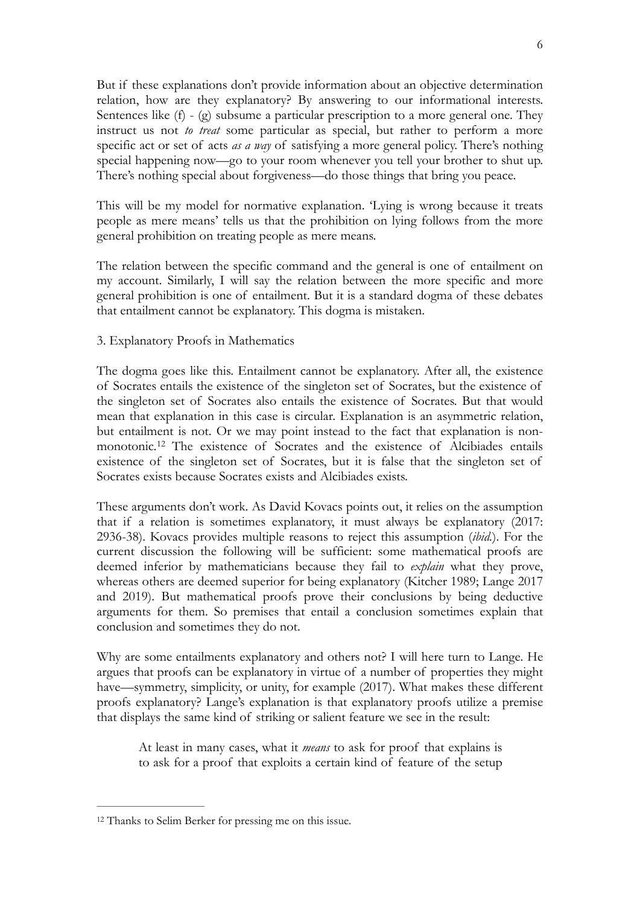But if these explanations don't provide information about an objective determination relation, how are they explanatory? By answering to our informational interests. Sentences like (f) - (g) subsume a particular prescription to a more general one. They instruct us not *to treat* some particular as special, but rather to perform a more specific act or set of acts *as a way* of satisfying a more general policy. There's nothing special happening now—go to your room whenever you tell your brother to shut up. There's nothing special about forgiveness—do those things that bring you peace.

This will be my model for normative explanation. 'Lying is wrong because it treats people as mere means' tells us that the prohibition on lying follows from the more general prohibition on treating people as mere means.

The relation between the specific command and the general is one of entailment on my account. Similarly, I will say the relation between the more specific and more general prohibition is one of entailment. But it is a standard dogma of these debates that entailment cannot be explanatory. This dogma is mistaken.

### 3. Explanatory Proofs in Mathematics

The dogma goes like this. Entailment cannot be explanatory. After all, the existence of Socrates entails the existence of the singleton set of Socrates, but the existence of the singleton set of Socrates also entails the existence of Socrates. But that would mean that explanation in this case is circular. Explanation is an asymmetric relation, but entailment is not. Or we may point instead to the fact that explanation is non-monotonic.<sup>[12](#page-5-0)</sup> The existence of Socrates and the existence of Alcibiades entails existence of the singleton set of Socrates, but it is false that the singleton set of Socrates exists because Socrates exists and Alcibiades exists.

<span id="page-5-1"></span>These arguments don't work. As David Kovacs points out, it relies on the assumption that if a relation is sometimes explanatory, it must always be explanatory (2017: 2936-38). Kovacs provides multiple reasons to reject this assumption (*ibid.*). For the current discussion the following will be sufficient: some mathematical proofs are deemed inferior by mathematicians because they fail to *explain* what they prove, whereas others are deemed superior for being explanatory (Kitcher 1989; Lange 2017 and 2019). But mathematical proofs prove their conclusions by being deductive arguments for them. So premises that entail a conclusion sometimes explain that conclusion and sometimes they do not.

Why are some entailments explanatory and others not? I will here turn to Lange. He argues that proofs can be explanatory in virtue of a number of properties they might have—symmetry, simplicity, or unity, for example (2017). What makes these different proofs explanatory? Lange's explanation is that explanatory proofs utilize a premise that displays the same kind of striking or salient feature we see in the result:

At least in many cases, what it *means* to ask for proof that explains is to ask for a proof that exploits a certain kind of feature of the setup

<span id="page-5-0"></span><sup>&</sup>lt;sup>[12](#page-5-1)</sup> Thanks to Selim Berker for pressing me on this issue.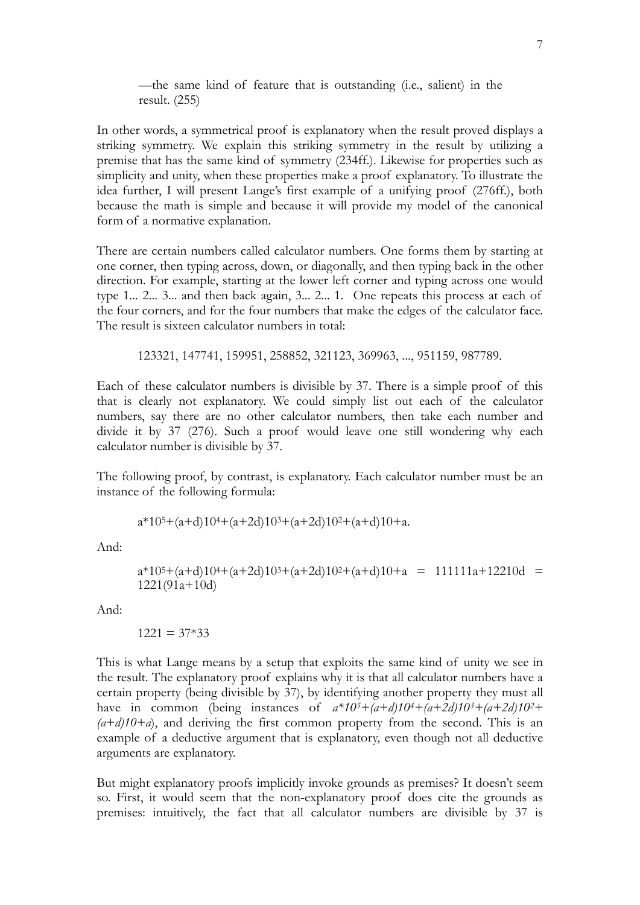—the same kind of feature that is outstanding (i.e., salient) in the result. (255)

In other words, a symmetrical proof is explanatory when the result proved displays a striking symmetry. We explain this striking symmetry in the result by utilizing a premise that has the same kind of symmetry (234ff.). Likewise for properties such as simplicity and unity, when these properties make a proof explanatory. To illustrate the idea further, I will present Lange's first example of a unifying proof (276ff.), both because the math is simple and because it will provide my model of the canonical form of a normative explanation.

There are certain numbers called calculator numbers. One forms them by starting at one corner, then typing across, down, or diagonally, and then typing back in the other direction. For example, starting at the lower left corner and typing across one would type 1... 2... 3... and then back again, 3... 2... 1. One repeats this process at each of the four corners, and for the four numbers that make the edges of the calculator face. The result is sixteen calculator numbers in total:

123321, 147741, 159951, 258852, 321123, 369963, ..., 951159, 987789.

Each of these calculator numbers is divisible by 37. There is a simple proof of this that is clearly not explanatory. We could simply list out each of the calculator numbers, say there are no other calculator numbers, then take each number and divide it by 37 (276). Such a proof would leave one still wondering why each calculator number is divisible by 37.

The following proof, by contrast, is explanatory. Each calculator number must be an instance of the following formula:

$$
a*105+(a+d)104+(a+2d)103+(a+2d)102+(a+d)10+a.
$$

And:

$$
a*105+(a+d)104+(a+2d)103+(a+2d)102+(a+d)10+a = 111111a+12210d = 1221(91a+10d)
$$

And:

$$
1221 = 37*33
$$

This is what Lange means by a setup that exploits the same kind of unity we see in the result. The explanatory proof explains why it is that all calculator numbers have a certain property (being divisible by 37), by identifying another property they must all have in common (being instances of *a\*105+(a+d)104+(a+2d)103+(a+2d)102+*  $(a+d)10+a$ , and deriving the first common property from the second. This is an example of a deductive argument that is explanatory, even though not all deductive arguments are explanatory.

But might explanatory proofs implicitly invoke grounds as premises? It doesn't seem so. First, it would seem that the non-explanatory proof does cite the grounds as premises: intuitively, the fact that all calculator numbers are divisible by 37 is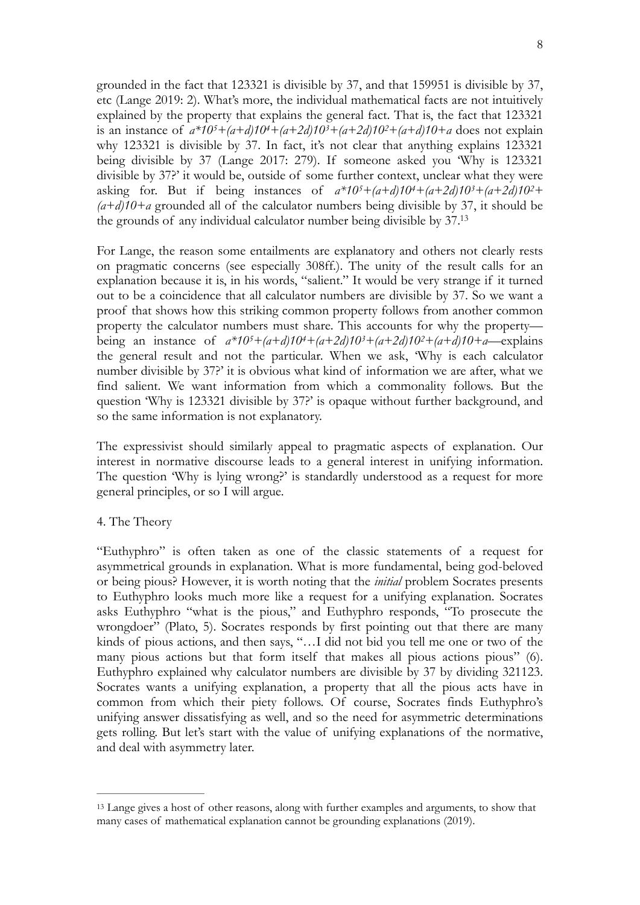grounded in the fact that 123321 is divisible by 37, and that 159951 is divisible by 37, etc (Lange 2019: 2). What's more, the individual mathematical facts are not intuitively explained by the property that explains the general fact. That is, the fact that 123321 is an instance of  $a*10^5+(a+d)10^4+(a+2d)10^3+(a+2d)10^2+(a+d)10+a$  does not explain why 123321 is divisible by 37. In fact, it's not clear that anything explains 123321 being divisible by 37 (Lange 2017: 279). If someone asked you 'Why is 123321 divisible by 37?' it would be, outside of some further context, unclear what they were asking for. But if being instances of  $a*10^5+(a+d)10^4+(a+2d)10^3+(a+2d)10^2+$ *(a+d)10+a* grounded all of the calculator numbers being divisible by 37, it should be the grounds of any individual calculator number being divisible by 37[.13](#page-7-0)

<span id="page-7-1"></span>For Lange, the reason some entailments are explanatory and others not clearly rests on pragmatic concerns (see especially 308ff.). The unity of the result calls for an explanation because it is, in his words, "salient." It would be very strange if it turned out to be a coincidence that all calculator numbers are divisible by 37. So we want a proof that shows how this striking common property follows from another common property the calculator numbers must share. This accounts for why the property being an instance of *a\*105+(a+d)104+(a+2d)103+(a+2d)102+(a+d)10+a—*explains the general result and not the particular. When we ask, 'Why is each calculator number divisible by 37?' it is obvious what kind of information we are after, what we find salient. We want information from which a commonality follows. But the question 'Why is 123321 divisible by 37?' is opaque without further background, and so the same information is not explanatory.

The expressivist should similarly appeal to pragmatic aspects of explanation. Our interest in normative discourse leads to a general interest in unifying information. The question 'Why is lying wrong?' is standardly understood as a request for more general principles, or so I will argue.

### 4. The Theory

"Euthyphro" is often taken as one of the classic statements of a request for asymmetrical grounds in explanation. What is more fundamental, being god-beloved or being pious? However, it is worth noting that the *initial* problem Socrates presents to Euthyphro looks much more like a request for a unifying explanation. Socrates asks Euthyphro "what is the pious," and Euthyphro responds, "To prosecute the wrongdoer" (Plato, 5). Socrates responds by first pointing out that there are many kinds of pious actions, and then says, "…I did not bid you tell me one or two of the many pious actions but that form itself that makes all pious actions pious" (6). Euthyphro explained why calculator numbers are divisible by 37 by dividing 321123. Socrates wants a unifying explanation, a property that all the pious acts have in common from which their piety follows. Of course, Socrates finds Euthyphro's unifying answer dissatisfying as well, and so the need for asymmetric determinations gets rolling. But let's start with the value of unifying explanations of the normative, and deal with asymmetry later.

<span id="page-7-0"></span><sup>&</sup>lt;sup>13</sup>Lange gives a host of other reasons, along with further examples and arguments, to show that many cases of mathematical explanation cannot be grounding explanations (2019).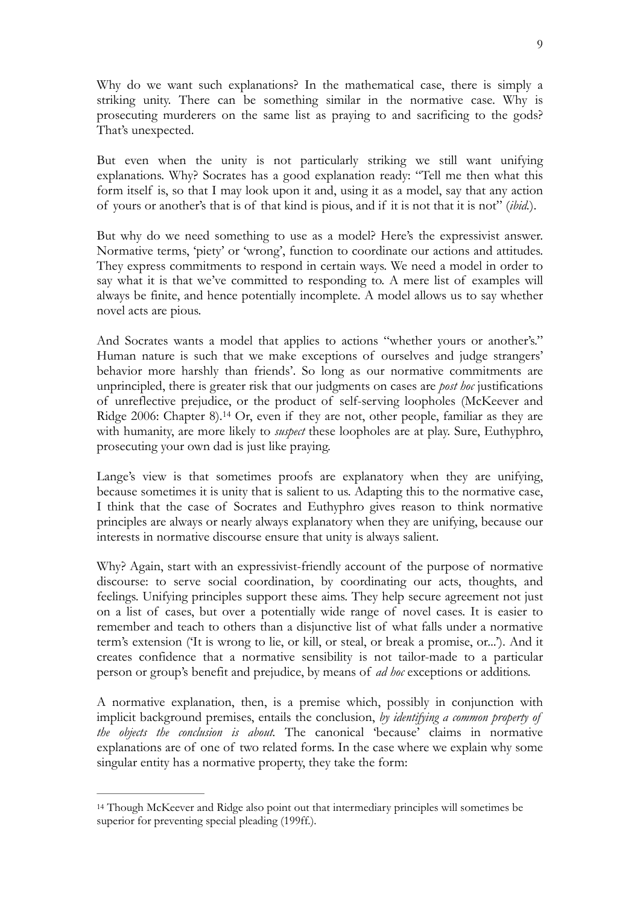Why do we want such explanations? In the mathematical case, there is simply a striking unity. There can be something similar in the normative case. Why is prosecuting murderers on the same list as praying to and sacrificing to the gods? That's unexpected.

But even when the unity is not particularly striking we still want unifying explanations. Why? Socrates has a good explanation ready: "Tell me then what this form itself is, so that I may look upon it and, using it as a model, say that any action of yours or another's that is of that kind is pious, and if it is not that it is not" (*ibid.*).

But why do we need something to use as a model? Here's the expressivist answer. Normative terms, 'piety' or 'wrong', function to coordinate our actions and attitudes. They express commitments to respond in certain ways. We need a model in order to say what it is that we've committed to responding to. A mere list of examples will always be finite, and hence potentially incomplete. A model allows us to say whether novel acts are pious.

And Socrates wants a model that applies to actions "whether yours or another's." Human nature is such that we make exceptions of ourselves and judge strangers' behavior more harshly than friends'. So long as our normative commitments are unprincipled, there is greater risk that our judgments on cases are *post hoc* justifications of unreflective prejudice, or the product of self-serving loopholes (McKeever and Ridge2006: Chapter 8).<sup>[14](#page-8-0)</sup> Or, even if they are not, other people, familiar as they are with humanity, are more likely to *suspect* these loopholes are at play. Sure, Euthyphro, prosecuting your own dad is just like praying.

<span id="page-8-1"></span>Lange's view is that sometimes proofs are explanatory when they are unifying, because sometimes it is unity that is salient to us. Adapting this to the normative case, I think that the case of Socrates and Euthyphro gives reason to think normative principles are always or nearly always explanatory when they are unifying, because our interests in normative discourse ensure that unity is always salient.

Why? Again, start with an expressivist-friendly account of the purpose of normative discourse: to serve social coordination, by coordinating our acts, thoughts, and feelings. Unifying principles support these aims. They help secure agreement not just on a list of cases, but over a potentially wide range of novel cases. It is easier to remember and teach to others than a disjunctive list of what falls under a normative term's extension ('It is wrong to lie, or kill, or steal, or break a promise, or...'). And it creates confidence that a normative sensibility is not tailor-made to a particular person or group's benefit and prejudice, by means of *ad hoc* exceptions or additions.

A normative explanation, then, is a premise which, possibly in conjunction with implicit background premises, entails the conclusion, *by identifying a common property of the objects the conclusion is about.* The canonical 'because' claims in normative explanations are of one of two related forms. In the case where we explain why some singular entity has a normative property, they take the form:

<span id="page-8-0"></span><sup>&</sup>lt;sup>14</sup>Though McKeever and Ridge also point out that intermediary principles will sometimes be superior for preventing special pleading (199ff.).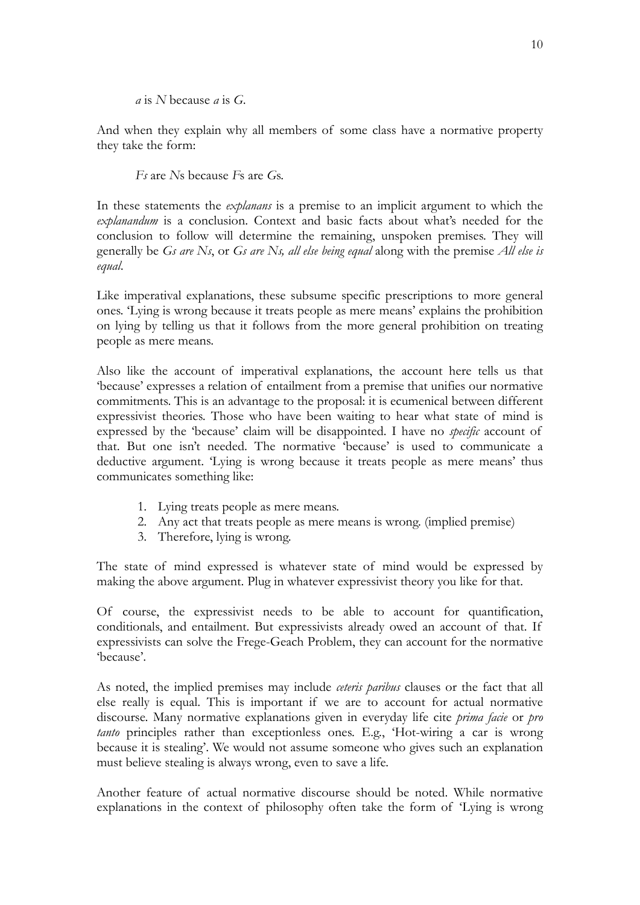*a* is *N* because *a* is *G*.

And when they explain why all members of some class have a normative property they take the form:

*Fs* are *N*s because *F*s are *G*s.

In these statements the *explanans* is a premise to an implicit argument to which the *explanandum* is a conclusion. Context and basic facts about what's needed for the conclusion to follow will determine the remaining, unspoken premises. They will generally be *Gs are Ns*, or *Gs are Ns, all else being equal* along with the premise *All else is equal*.

Like imperatival explanations, these subsume specific prescriptions to more general ones. 'Lying is wrong because it treats people as mere means' explains the prohibition on lying by telling us that it follows from the more general prohibition on treating people as mere means.

Also like the account of imperatival explanations, the account here tells us that 'because' expresses a relation of entailment from a premise that unifies our normative commitments. This is an advantage to the proposal: it is ecumenical between different expressivist theories. Those who have been waiting to hear what state of mind is expressed by the 'because' claim will be disappointed. I have no *specific* account of that. But one isn't needed. The normative 'because' is used to communicate a deductive argument. 'Lying is wrong because it treats people as mere means' thus communicates something like:

- 1. Lying treats people as mere means.
- 2. Any act that treats people as mere means is wrong. (implied premise)
- 3. Therefore, lying is wrong.

The state of mind expressed is whatever state of mind would be expressed by making the above argument. Plug in whatever expressivist theory you like for that.

Of course, the expressivist needs to be able to account for quantification, conditionals, and entailment. But expressivists already owed an account of that. If expressivists can solve the Frege-Geach Problem, they can account for the normative 'because'.

As noted, the implied premises may include *ceteris paribus* clauses or the fact that all else really is equal. This is important if we are to account for actual normative discourse. Many normative explanations given in everyday life cite *prima facie* or *pro tanto* principles rather than exceptionless ones. E.g., 'Hot-wiring a car is wrong because it is stealing'. We would not assume someone who gives such an explanation must believe stealing is always wrong, even to save a life.

Another feature of actual normative discourse should be noted. While normative explanations in the context of philosophy often take the form of 'Lying is wrong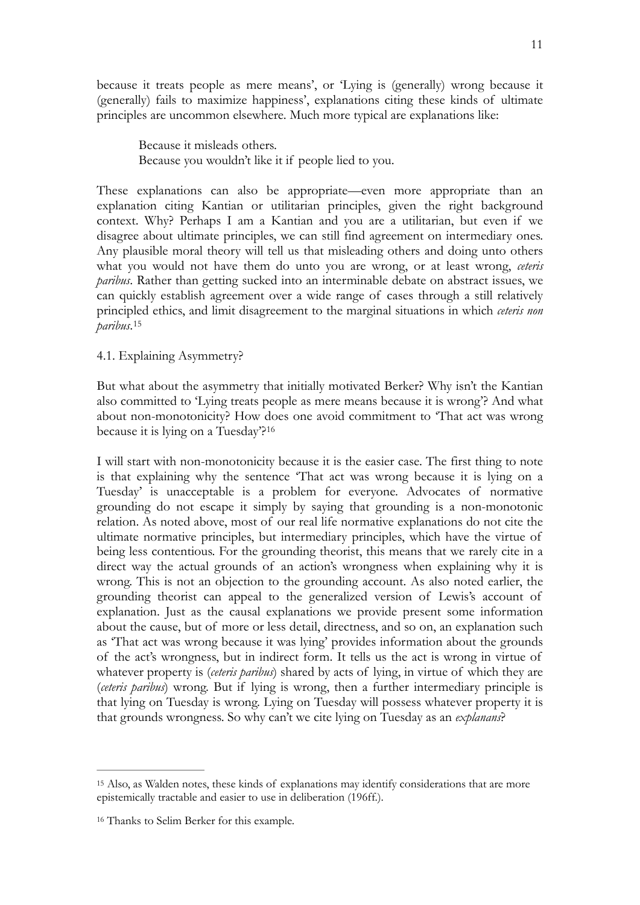because it treats people as mere means', or 'Lying is (generally) wrong because it (generally) fails to maximize happiness', explanations citing these kinds of ultimate principles are uncommon elsewhere. Much more typical are explanations like:

Because it misleads others. Because you wouldn't like it if people lied to you.

These explanations can also be appropriate—even more appropriate than an explanation citing Kantian or utilitarian principles, given the right background context. Why? Perhaps I am a Kantian and you are a utilitarian, but even if we disagree about ultimate principles, we can still find agreement on intermediary ones. Any plausible moral theory will tell us that misleading others and doing unto others what you would not have them do unto you are wrong, or at least wrong, *ceteris paribus*. Rather than getting sucked into an interminable debate on abstract issues, we can quickly establish agreement over a wide range of cases through a still relatively principled ethics, and limit disagreement to the marginal situations in which *ceteris non paribus*.[15](#page-10-0)

## <span id="page-10-2"></span>4.1. Explaining Asymmetry?

But what about the asymmetry that initially motivated Berker? Why isn't the Kantian also committed to 'Lying treats people as mere means because it is wrong'? And what about non-monotonicity? How does one avoid commitment to 'That act was wrong because it is lying on a Tuesday'?[16](#page-10-1)

<span id="page-10-3"></span>I will start with non-monotonicity because it is the easier case. The first thing to note is that explaining why the sentence 'That act was wrong because it is lying on a Tuesday' is unacceptable is a problem for everyone. Advocates of normative grounding do not escape it simply by saying that grounding is a non-monotonic relation. As noted above, most of our real life normative explanations do not cite the ultimate normative principles, but intermediary principles, which have the virtue of being less contentious. For the grounding theorist, this means that we rarely cite in a direct way the actual grounds of an action's wrongness when explaining why it is wrong. This is not an objection to the grounding account. As also noted earlier, the grounding theorist can appeal to the generalized version of Lewis's account of explanation. Just as the causal explanations we provide present some information about the cause, but of more or less detail, directness, and so on, an explanation such as 'That act was wrong because it was lying' provides information about the grounds of the act's wrongness, but in indirect form. It tells us the act is wrong in virtue of whatever property is (*ceteris paribus*) shared by acts of lying, in virtue of which they are (*ceteris paribus*) wrong. But if lying is wrong, then a further intermediary principle is that lying on Tuesday is wrong. Lying on Tuesday will possess whatever property it is that grounds wrongness. So why can't we cite lying on Tuesday as an *explanans*?

<span id="page-10-0"></span><sup>&</sup>lt;sup>15</sup>Also, as Walden notes, these kinds of explanations may identify considerations that are more epistemically tractable and easier to use in deliberation (196ff.).

<span id="page-10-1"></span>[<sup>16</sup>](#page-10-3) Thanks to Selim Berker for this example.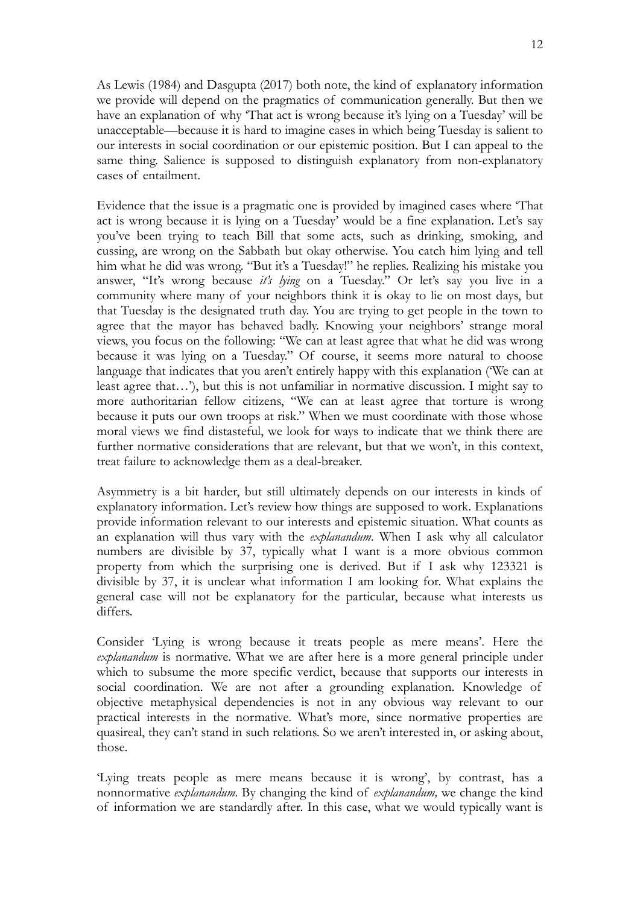12

As Lewis (1984) and Dasgupta (2017) both note, the kind of explanatory information we provide will depend on the pragmatics of communication generally. But then we have an explanation of why 'That act is wrong because it's lying on a Tuesday' will be unacceptable—because it is hard to imagine cases in which being Tuesday is salient to our interests in social coordination or our epistemic position. But I can appeal to the same thing. Salience is supposed to distinguish explanatory from non-explanatory cases of entailment.

Evidence that the issue is a pragmatic one is provided by imagined cases where 'That act is wrong because it is lying on a Tuesday' would be a fine explanation. Let's say you've been trying to teach Bill that some acts, such as drinking, smoking, and cussing, are wrong on the Sabbath but okay otherwise. You catch him lying and tell him what he did was wrong. "But it's a Tuesday!" he replies. Realizing his mistake you answer, "It's wrong because *it's lying* on a Tuesday." Or let's say you live in a community where many of your neighbors think it is okay to lie on most days, but that Tuesday is the designated truth day. You are trying to get people in the town to agree that the mayor has behaved badly. Knowing your neighbors' strange moral views, you focus on the following: "We can at least agree that what he did was wrong because it was lying on a Tuesday." Of course, it seems more natural to choose language that indicates that you aren't entirely happy with this explanation ('We can at least agree that…'), but this is not unfamiliar in normative discussion. I might say to more authoritarian fellow citizens, "We can at least agree that torture is wrong because it puts our own troops at risk." When we must coordinate with those whose moral views we find distasteful, we look for ways to indicate that we think there are further normative considerations that are relevant, but that we won't, in this context, treat failure to acknowledge them as a deal-breaker.

Asymmetry is a bit harder, but still ultimately depends on our interests in kinds of explanatory information. Let's review how things are supposed to work. Explanations provide information relevant to our interests and epistemic situation. What counts as an explanation will thus vary with the *explanandum*. When I ask why all calculator numbers are divisible by 37, typically what I want is a more obvious common property from which the surprising one is derived. But if I ask why 123321 is divisible by 37, it is unclear what information I am looking for. What explains the general case will not be explanatory for the particular, because what interests us differs.

Consider 'Lying is wrong because it treats people as mere means'. Here the *explanandum* is normative. What we are after here is a more general principle under which to subsume the more specific verdict, because that supports our interests in social coordination. We are not after a grounding explanation. Knowledge of objective metaphysical dependencies is not in any obvious way relevant to our practical interests in the normative. What's more, since normative properties are quasireal, they can't stand in such relations. So we aren't interested in, or asking about, those.

'Lying treats people as mere means because it is wrong', by contrast, has a nonnormative *explanandum*. By changing the kind of *explanandum,* we change the kind of information we are standardly after. In this case, what we would typically want is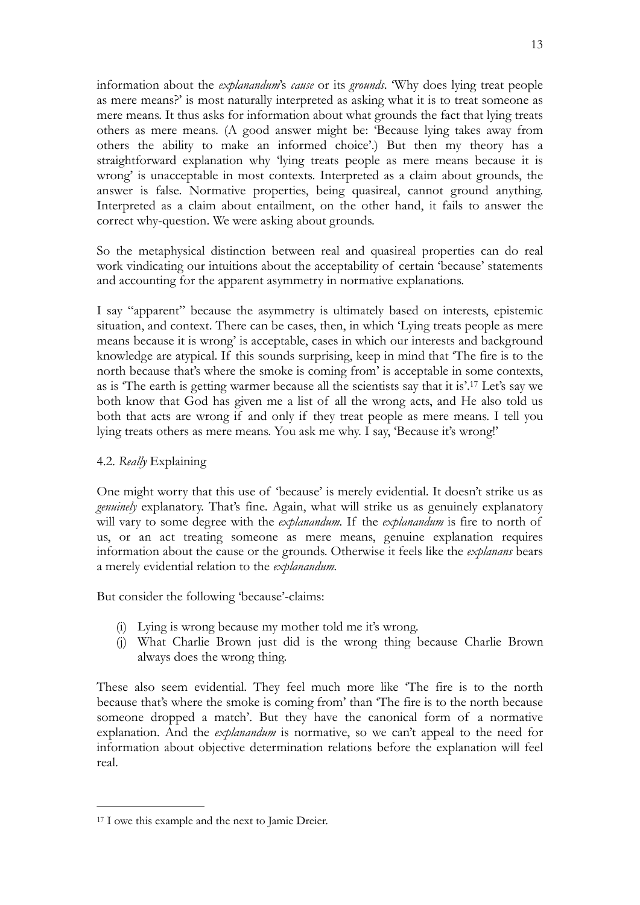information about the *explanandum*'s *cause* or its *grounds*. 'Why does lying treat people as mere means?' is most naturally interpreted as asking what it is to treat someone as mere means. It thus asks for information about what grounds the fact that lying treats others as mere means. (A good answer might be: 'Because lying takes away from others the ability to make an informed choice'.) But then my theory has a straightforward explanation why 'lying treats people as mere means because it is wrong' is unacceptable in most contexts. Interpreted as a claim about grounds, the answer is false. Normative properties, being quasireal, cannot ground anything. Interpreted as a claim about entailment, on the other hand, it fails to answer the correct why-question. We were asking about grounds.

So the metaphysical distinction between real and quasireal properties can do real work vindicating our intuitions about the acceptability of certain 'because' statements and accounting for the apparent asymmetry in normative explanations.

<span id="page-12-1"></span>I say "apparent" because the asymmetry is ultimately based on interests, epistemic situation, and context. There can be cases, then, in which 'Lying treats people as mere means because it is wrong' is acceptable, cases in which our interests and background knowledge are atypical. If this sounds surprising, keep in mind that 'The fire is to the north because that's where the smoke is coming from' is acceptable in some contexts, as is 'The earth is getting warmer because all the scientists say that it is'[.](#page-12-0)<sup>[17](#page-12-0)</sup> Let's say we both know that God has given me a list of all the wrong acts, and He also told us both that acts are wrong if and only if they treat people as mere means. I tell you lying treats others as mere means. You ask me why. I say, 'Because it's wrong!'

### 4.2. *Really* Explaining

One might worry that this use of 'because' is merely evidential. It doesn't strike us as *genuinely* explanatory. That's fine. Again, what will strike us as genuinely explanatory will vary to some degree with the *explanandum.* If the *explanandum* is fire to north of us, or an act treating someone as mere means, genuine explanation requires information about the cause or the grounds. Otherwise it feels like the *explanans* bears a merely evidential relation to the *explanandum.* 

But consider the following 'because'-claims:

- (i) Lying is wrong because my mother told me it's wrong.
- (j) What Charlie Brown just did is the wrong thing because Charlie Brown always does the wrong thing.

These also seem evidential. They feel much more like 'The fire is to the north because that's where the smoke is coming from' than 'The fire is to the north because someone dropped a match'. But they have the canonical form of a normative explanation. And the *explanandum* is normative, so we can't appeal to the need for information about objective determination relations before the explanation will feel real.

<span id="page-12-0"></span><sup>&</sup>lt;sup>[17](#page-12-1)</sup> I owe this example and the next to Jamie Dreier.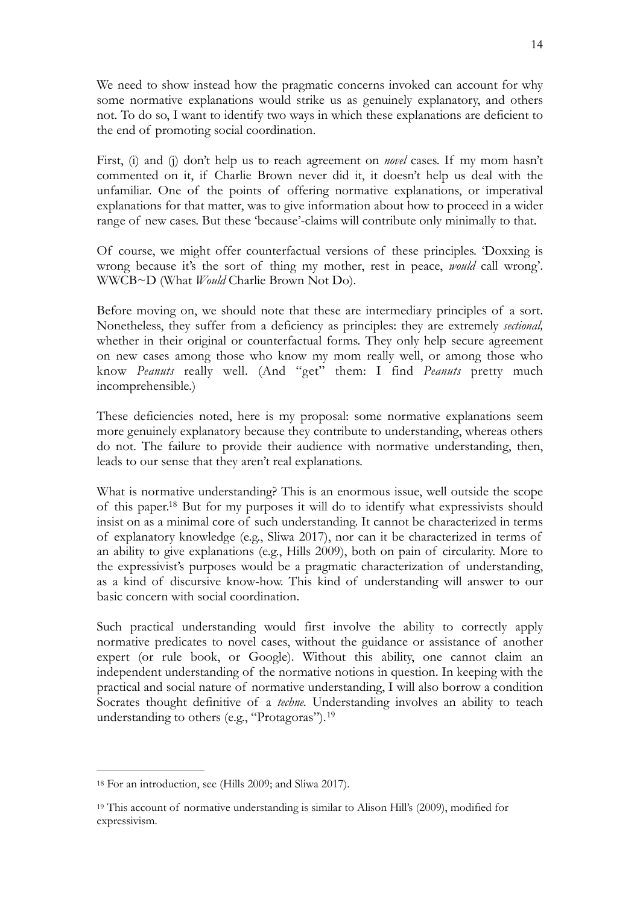We need to show instead how the pragmatic concerns invoked can account for why some normative explanations would strike us as genuinely explanatory, and others not. To do so, I want to identify two ways in which these explanations are deficient to the end of promoting social coordination.

First, (i) and (j) don't help us to reach agreement on *novel* cases. If my mom hasn't commented on it, if Charlie Brown never did it, it doesn't help us deal with the unfamiliar. One of the points of offering normative explanations, or imperatival explanations for that matter, was to give information about how to proceed in a wider range of new cases. But these 'because'-claims will contribute only minimally to that.

Of course, we might offer counterfactual versions of these principles. 'Doxxing is wrong because it's the sort of thing my mother, rest in peace, *would* call wrong'. WWCB~D (What *Would* Charlie Brown Not Do).

Before moving on, we should note that these are intermediary principles of a sort. Nonetheless, they suffer from a deficiency as principles: they are extremely *sectional,*  whether in their original or counterfactual forms. They only help secure agreement on new cases among those who know my mom really well, or among those who know *Peanuts* really well. (And "get" them: I find *Peanuts* pretty much incomprehensible.)

These deficiencies noted, here is my proposal: some normative explanations seem more genuinely explanatory because they contribute to understanding, whereas others do not. The failure to provide their audience with normative understanding, then, leads to our sense that they aren't real explanations.

<span id="page-13-2"></span>What is normative understanding? This is an enormous issue, well outside the scope of this paper[.](#page-13-0)<sup>[18](#page-13-0)</sup> But for my purposes it will do to identify what expressivists should insist on as a minimal core of such understanding. It cannot be characterized in terms of explanatory knowledge (e.g., Sliwa 2017), nor can it be characterized in terms of an ability to give explanations (e.g., Hills 2009), both on pain of circularity. More to the expressivist's purposes would be a pragmatic characterization of understanding, as a kind of discursive know-how. This kind of understanding will answer to our basic concern with social coordination.

Such practical understanding would first involve the ability to correctly apply normative predicates to novel cases, without the guidance or assistance of another expert (or rule book, or Google). Without this ability, one cannot claim an independent understanding of the normative notions in question. In keeping with the practical and social nature of normative understanding, I will also borrow a condition Socrates thought definitive of a *techne.* Understanding involves an ability to teach understanding to others (e.g., "Protagoras").[19](#page-13-1)

<span id="page-13-3"></span><span id="page-13-0"></span><sup>&</sup>lt;sup>[18](#page-13-2)</sup> For an introduction, see (Hills 2009; and Sliwa 2017).

<span id="page-13-1"></span> $19$ This account of normative understanding is similar to Alison Hill's (2009), modified for expressivism.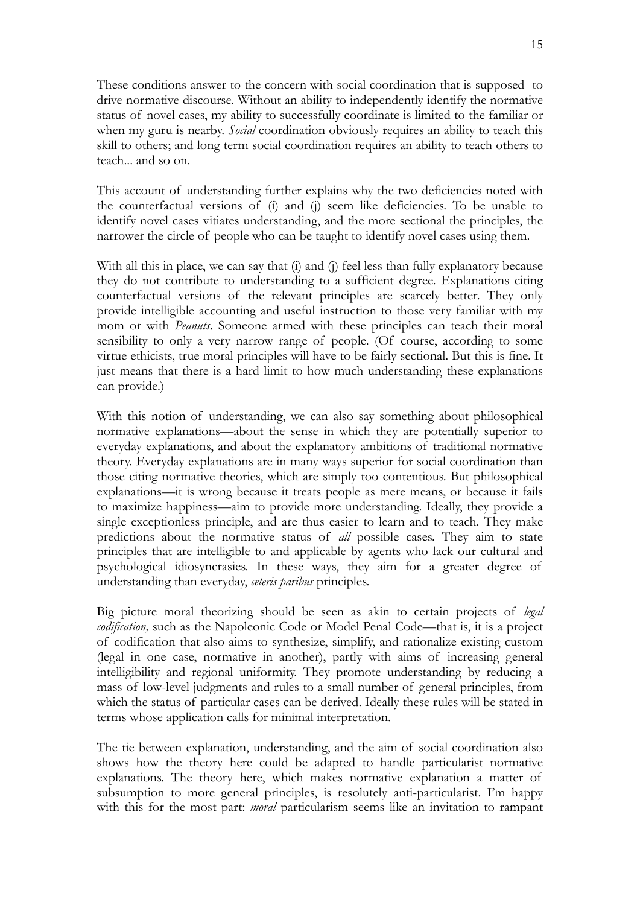These conditions answer to the concern with social coordination that is supposed to drive normative discourse. Without an ability to independently identify the normative status of novel cases, my ability to successfully coordinate is limited to the familiar or when my guru is nearby. *Social* coordination obviously requires an ability to teach this skill to others; and long term social coordination requires an ability to teach others to teach... and so on.

This account of understanding further explains why the two deficiencies noted with the counterfactual versions of (i) and (j) seem like deficiencies. To be unable to identify novel cases vitiates understanding, and the more sectional the principles, the narrower the circle of people who can be taught to identify novel cases using them.

With all this in place, we can say that (i) and (j) feel less than fully explanatory because they do not contribute to understanding to a sufficient degree. Explanations citing counterfactual versions of the relevant principles are scarcely better. They only provide intelligible accounting and useful instruction to those very familiar with my mom or with *Peanuts*. Someone armed with these principles can teach their moral sensibility to only a very narrow range of people. (Of course, according to some virtue ethicists, true moral principles will have to be fairly sectional. But this is fine. It just means that there is a hard limit to how much understanding these explanations can provide.)

With this notion of understanding, we can also say something about philosophical normative explanations—about the sense in which they are potentially superior to everyday explanations, and about the explanatory ambitions of traditional normative theory. Everyday explanations are in many ways superior for social coordination than those citing normative theories, which are simply too contentious. But philosophical explanations—it is wrong because it treats people as mere means, or because it fails to maximize happiness—aim to provide more understanding. Ideally, they provide a single exceptionless principle, and are thus easier to learn and to teach. They make predictions about the normative status of *all* possible cases. They aim to state principles that are intelligible to and applicable by agents who lack our cultural and psychological idiosyncrasies. In these ways, they aim for a greater degree of understanding than everyday, *ceteris paribus* principles.

Big picture moral theorizing should be seen as akin to certain projects of *legal codification,* such as the Napoleonic Code or Model Penal Code—that is, it is a project of codification that also aims to synthesize, simplify, and rationalize existing custom (legal in one case, normative in another), partly with aims of increasing general intelligibility and regional uniformity. They promote understanding by reducing a mass of low-level judgments and rules to a small number of general principles, from which the status of particular cases can be derived. Ideally these rules will be stated in terms whose application calls for minimal interpretation.

The tie between explanation, understanding, and the aim of social coordination also shows how the theory here could be adapted to handle particularist normative explanations. The theory here, which makes normative explanation a matter of subsumption to more general principles, is resolutely anti-particularist. I'm happy with this for the most part: *moral* particularism seems like an invitation to rampant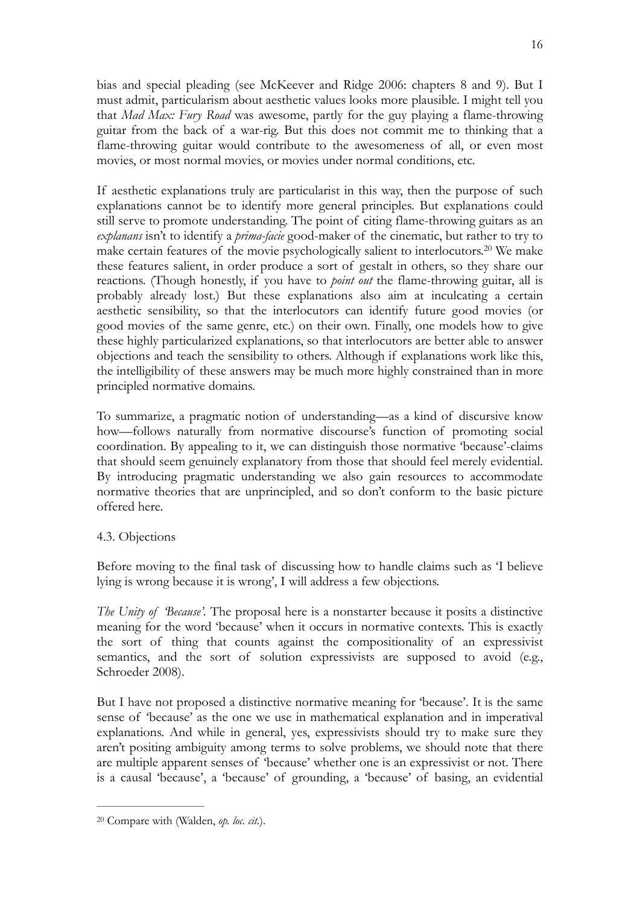bias and special pleading (see McKeever and Ridge 2006: chapters 8 and 9). But I must admit, particularism about aesthetic values looks more plausible. I might tell you that *Mad Max: Fury Road* was awesome, partly for the guy playing a flame-throwing guitar from the back of a war-rig. But this does not commit me to thinking that a flame-throwing guitar would contribute to the awesomeness of all, or even most movies, or most normal movies, or movies under normal conditions, etc.

<span id="page-15-1"></span>If aesthetic explanations truly are particularist in this way, then the purpose of such explanations cannot be to identify more general principles. But explanations could still serve to promote understanding. The point of citing flame-throwing guitars as an *explanans* isn't to identify a *prima-facie* good-maker of the cinematic, but rather to try to make certain features of the movie psychologically salient to interlocutors.<sup>[20](#page-15-0)</sup> We make these features salient, in order produce a sort of gestalt in others, so they share our reactions. (Though honestly, if you have to *point out* the flame-throwing guitar, all is probably already lost.) But these explanations also aim at inculcating a certain aesthetic sensibility, so that the interlocutors can identify future good movies (or good movies of the same genre, etc.) on their own. Finally, one models how to give these highly particularized explanations, so that interlocutors are better able to answer objections and teach the sensibility to others. Although if explanations work like this, the intelligibility of these answers may be much more highly constrained than in more principled normative domains.

To summarize, a pragmatic notion of understanding—as a kind of discursive know how—follows naturally from normative discourse's function of promoting social coordination. By appealing to it, we can distinguish those normative 'because'-claims that should seem genuinely explanatory from those that should feel merely evidential. By introducing pragmatic understanding we also gain resources to accommodate normative theories that are unprincipled, and so don't conform to the basic picture offered here.

## 4.3. Objections

Before moving to the final task of discussing how to handle claims such as 'I believe lying is wrong because it is wrong', I will address a few objections.

*The Unity of 'Because'.* The proposal here is a nonstarter because it posits a distinctive meaning for the word 'because' when it occurs in normative contexts. This is exactly the sort of thing that counts against the compositionality of an expressivist semantics, and the sort of solution expressivists are supposed to avoid (e.g., Schroeder 2008).

But I have not proposed a distinctive normative meaning for 'because'. It is the same sense of 'because' as the one we use in mathematical explanation and in imperatival explanations. And while in general, yes, expressivists should try to make sure they aren't positing ambiguity among terms to solve problems, we should note that there are multiple apparent senses of 'because' whether one is an expressivist or not. There is a causal 'because', a 'because' of grounding, a 'because' of basing, an evidential

<span id="page-15-0"></span><sup>&</sup>lt;sup>[20](#page-15-1)</sup> Compare with (Walden, *op. loc. cit.*).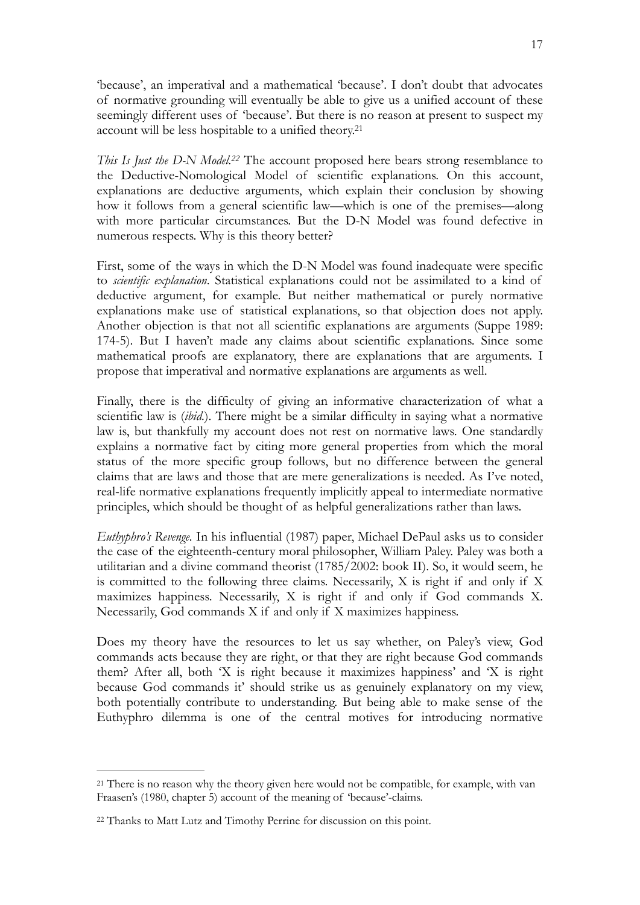'because', an imperatival and a mathematical 'because'. I don't doubt that advocates of normative grounding will eventually be able to give us a unified account of these seemingly different uses of 'because'. But there is no reason at present to suspect my account will be less hospitable to a unified theory[.21](#page-16-0)

<span id="page-16-3"></span><span id="page-16-2"></span>*This Is Just the D-N Model.<sup>[22](#page-16-1)</sup>* The account proposed here bears strong resemblance to the Deductive-Nomological Model of scientific explanations. On this account, explanations are deductive arguments, which explain their conclusion by showing how it follows from a general scientific law—which is one of the premises—along with more particular circumstances. But the D-N Model was found defective in numerous respects. Why is this theory better?

First, some of the ways in which the D-N Model was found inadequate were specific to *scientific explanation*. Statistical explanations could not be assimilated to a kind of deductive argument, for example. But neither mathematical or purely normative explanations make use of statistical explanations, so that objection does not apply. Another objection is that not all scientific explanations are arguments (Suppe 1989: 174-5). But I haven't made any claims about scientific explanations. Since some mathematical proofs are explanatory, there are explanations that are arguments. I propose that imperatival and normative explanations are arguments as well.

Finally, there is the difficulty of giving an informative characterization of what a scientific law is (*ibid.*). There might be a similar difficulty in saying what a normative law is, but thankfully my account does not rest on normative laws. One standardly explains a normative fact by citing more general properties from which the moral status of the more specific group follows, but no difference between the general claims that are laws and those that are mere generalizations is needed. As I've noted, real-life normative explanations frequently implicitly appeal to intermediate normative principles, which should be thought of as helpful generalizations rather than laws.

*Euthyphro's Revenge.* In his influential (1987) paper, Michael DePaul asks us to consider the case of the eighteenth-century moral philosopher, William Paley. Paley was both a utilitarian and a divine command theorist (1785/2002: book II). So, it would seem, he is committed to the following three claims. Necessarily, X is right if and only if X maximizes happiness. Necessarily, X is right if and only if God commands X. Necessarily, God commands X if and only if X maximizes happiness.

Does my theory have the resources to let us say whether, on Paley's view, God commands acts because they are right, or that they are right because God commands them? After all, both 'X is right because it maximizes happiness' and 'X is right because God commands it' should strike us as genuinely explanatory on my view, both potentially contribute to understanding. But being able to make sense of the Euthyphro dilemma is one of the central motives for introducing normative

<span id="page-16-0"></span><sup>&</sup>lt;sup>21</sup>There is no reason why the theory given here would not be compatible, for example, with van Fraasen's (1980, chapter 5) account of the meaning of 'because'-claims.

<span id="page-16-1"></span><sup>&</sup>lt;sup>[22](#page-16-3)</sup> Thanks to Matt Lutz and Timothy Perrine for discussion on this point.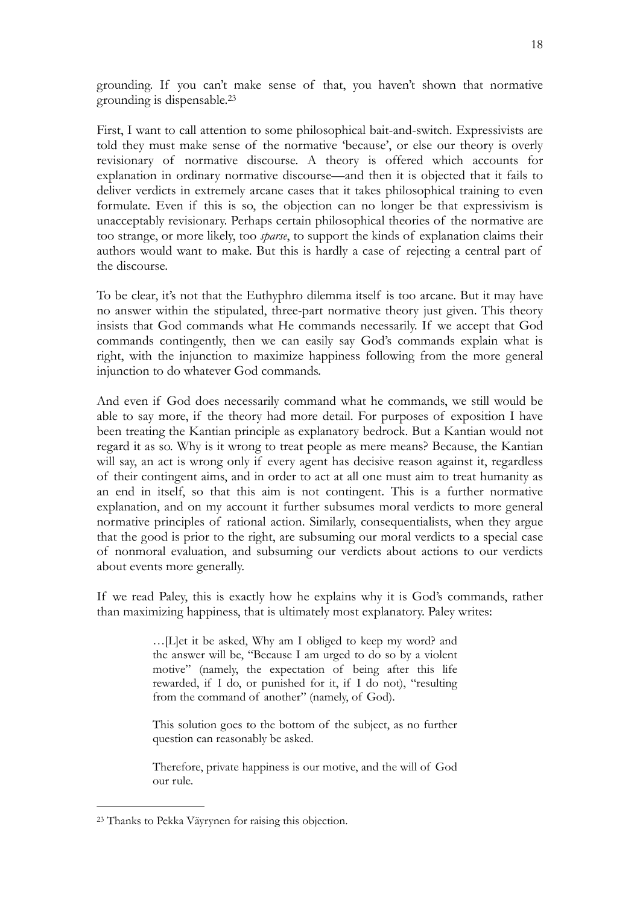<span id="page-17-1"></span>grounding. If you can't make sense of that, you haven't shown that normative grounding is dispensable.[23](#page-17-0)

First, I want to call attention to some philosophical bait-and-switch. Expressivists are told they must make sense of the normative 'because', or else our theory is overly revisionary of normative discourse. A theory is offered which accounts for explanation in ordinary normative discourse—and then it is objected that it fails to deliver verdicts in extremely arcane cases that it takes philosophical training to even formulate. Even if this is so, the objection can no longer be that expressivism is unacceptably revisionary. Perhaps certain philosophical theories of the normative are too strange, or more likely, too *sparse*, to support the kinds of explanation claims their authors would want to make. But this is hardly a case of rejecting a central part of the discourse.

To be clear, it's not that the Euthyphro dilemma itself is too arcane. But it may have no answer within the stipulated, three-part normative theory just given. This theory insists that God commands what He commands necessarily. If we accept that God commands contingently, then we can easily say God's commands explain what is right, with the injunction to maximize happiness following from the more general injunction to do whatever God commands.

And even if God does necessarily command what he commands, we still would be able to say more, if the theory had more detail. For purposes of exposition I have been treating the Kantian principle as explanatory bedrock. But a Kantian would not regard it as so. Why is it wrong to treat people as mere means? Because, the Kantian will say, an act is wrong only if every agent has decisive reason against it, regardless of their contingent aims, and in order to act at all one must aim to treat humanity as an end in itself, so that this aim is not contingent. This is a further normative explanation, and on my account it further subsumes moral verdicts to more general normative principles of rational action. Similarly, consequentialists, when they argue that the good is prior to the right, are subsuming our moral verdicts to a special case of nonmoral evaluation, and subsuming our verdicts about actions to our verdicts about events more generally.

If we read Paley, this is exactly how he explains why it is God's commands, rather than maximizing happiness, that is ultimately most explanatory. Paley writes:

> …[L]et it be asked, Why am I obliged to keep my word? and the answer will be, "Because I am urged to do so by a violent motive" (namely, the expectation of being after this life rewarded, if I do, or punished for it, if I do not), "resulting from the command of another" (namely, of God).

> This solution goes to the bottom of the subject, as no further question can reasonably be asked.

> Therefore, private happiness is our motive, and the will of God our rule.

<span id="page-17-0"></span>Thanks to Pekka Väyrynen for raising this objection. [23](#page-17-1)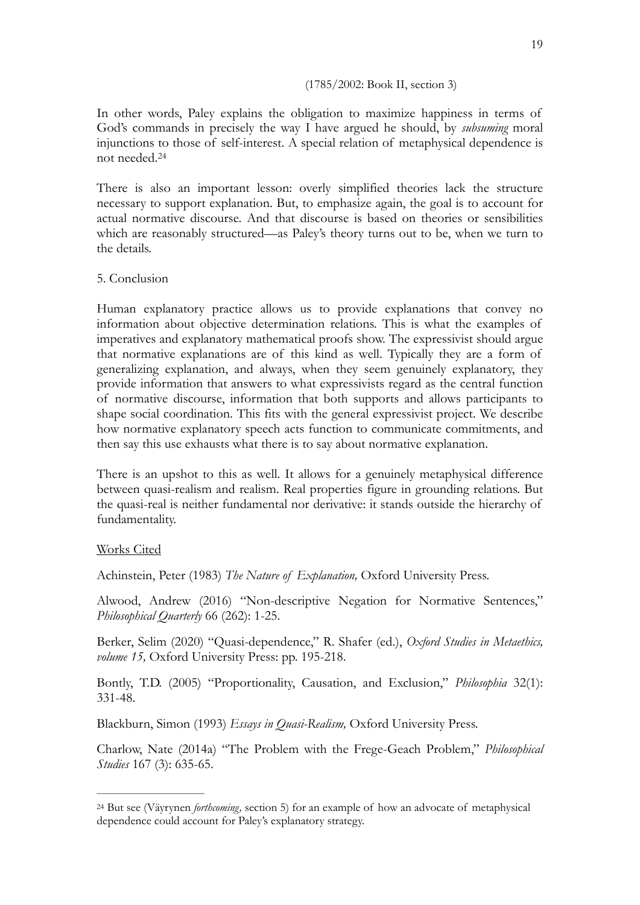#### (1785/2002: Book II, section 3)

In other words, Paley explains the obligation to maximize happiness in terms of God's commands in precisely the way I have argued he should, by *subsuming* moral injunctions to those of self-interest. A special relation of metaphysical dependence is not needed.[24](#page-18-0)

<span id="page-18-1"></span>There is also an important lesson: overly simplified theories lack the structure necessary to support explanation. But, to emphasize again, the goal is to account for actual normative discourse. And that discourse is based on theories or sensibilities which are reasonably structured—as Paley's theory turns out to be, when we turn to the details.

#### 5. Conclusion

Human explanatory practice allows us to provide explanations that convey no information about objective determination relations. This is what the examples of imperatives and explanatory mathematical proofs show. The expressivist should argue that normative explanations are of this kind as well. Typically they are a form of generalizing explanation, and always, when they seem genuinely explanatory, they provide information that answers to what expressivists regard as the central function of normative discourse, information that both supports and allows participants to shape social coordination. This fits with the general expressivist project. We describe how normative explanatory speech acts function to communicate commitments, and then say this use exhausts what there is to say about normative explanation.

There is an upshot to this as well. It allows for a genuinely metaphysical difference between quasi-realism and realism. Real properties figure in grounding relations. But the quasi-real is neither fundamental nor derivative: it stands outside the hierarchy of fundamentality.

#### Works Cited

Achinstein, Peter (1983) *The Nature of Explanation,* Oxford University Press.

Alwood, Andrew (2016) "Non-descriptive Negation for Normative Sentences," *Philosophical Quarterly* 66 (262): 1-25.

Berker, Selim (2020) "Quasi-dependence," R. Shafer (ed.), *Oxford Studies in Metaethics, volume 15,* Oxford University Press: pp. 195-218.

Bontly, T.D. (2005) "Proportionality, Causation, and Exclusion," *Philosophia* 32(1): 331-48.

Blackburn, Simon (1993) *Essays in Quasi-Realism,* Oxford University Press.

Charlow, Nate (2014a) "The Problem with the Frege-Geach Problem," *Philosophical Studies* 167 (3): 635-65.

<span id="page-18-0"></span><sup>&</sup>lt;sup>[24](#page-18-1)</sup> But see (Väyrynen *forthcoming*, section 5) for an example of how an advocate of metaphysical dependence could account for Paley's explanatory strategy.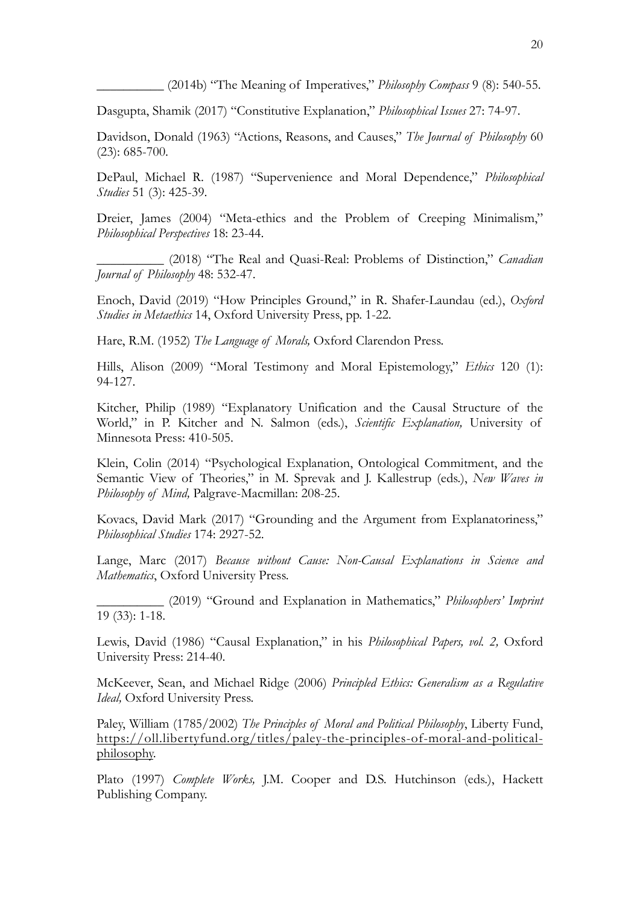\_\_\_\_\_\_\_\_\_\_ (2014b) "The Meaning of Imperatives," *Philosophy Compass* 9 (8): 540-55.

Dasgupta, Shamik (2017) "Constitutive Explanation," *Philosophical Issues* 27: 74-97.

Davidson, Donald (1963) "Actions, Reasons, and Causes," *The Journal of Philosophy* 60 (23): 685-700.

DePaul, Michael R. (1987) "Supervenience and Moral Dependence," *Philosophical Studies* 51 (3): 425-39.

Dreier, James (2004) "Meta-ethics and the Problem of Creeping Minimalism," *Philosophical Perspectives* 18: 23-44.

\_\_\_\_\_\_\_\_\_\_ (2018) "The Real and Quasi-Real: Problems of Distinction," *Canadian Journal of Philosophy* 48: 532-47.

Enoch, David (2019) "How Principles Ground," in R. Shafer-Laundau (ed.), *Oxford Studies in Metaethics* 14, Oxford University Press, pp. 1-22.

Hare, R.M. (1952) *The Language of Morals,* Oxford Clarendon Press.

Hills, Alison (2009) "Moral Testimony and Moral Epistemology," *Ethics* 120 (1): 94-127.

Kitcher, Philip (1989) "Explanatory Unification and the Causal Structure of the World," in P. Kitcher and N. Salmon (eds.), *Scientific Explanation,* University of Minnesota Press: 410-505.

Klein, Colin (2014) "Psychological Explanation, Ontological Commitment, and the Semantic View of Theories," in M. Sprevak and J. Kallestrup (eds.), *New Waves in Philosophy of Mind,* Palgrave-Macmillan: 208-25.

Kovacs, David Mark (2017) "Grounding and the Argument from Explanatoriness," *Philosophical Studies* 174: 2927-52.

Lange, Marc (2017) *Because without Cause: Non-Causal Explanations in Science and Mathematics*, Oxford University Press.

\_\_\_\_\_\_\_\_\_\_ (2019) "Ground and Explanation in Mathematics," *Philosophers' Imprint*  19 (33): 1-18.

Lewis, David (1986) "Causal Explanation," in his *Philosophical Papers, vol. 2,* Oxford University Press: 214-40.

McKeever, Sean, and Michael Ridge (2006) *Principled Ethics: Generalism as a Regulative Ideal,* Oxford University Press.

Paley, William (1785/2002) *The Principles of Moral and Political Philosophy*, Liberty Fund, [https://oll.libertyfund.org/titles/paley-the-principles-of-moral-and-political](https://oll.libertyfund.org/titles/paley-the-principles-of-moral-and-political-philosophy)[philosophy.](https://oll.libertyfund.org/titles/paley-the-principles-of-moral-and-political-philosophy)

Plato (1997) *Complete Works*, J.M. Cooper and D.S. Hutchinson (eds.), Hackett Publishing Company.